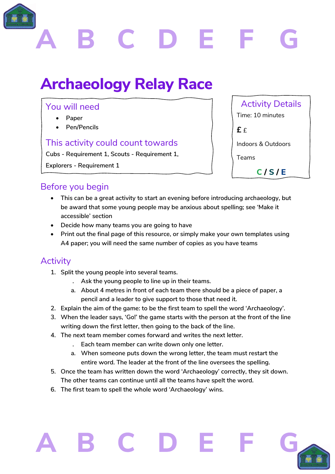

# **Archaeology Relay Race**

## You will need

- **Paper**
- **Pen/Pencils**

### This activity could count towards

**Cubs - Requirement 1, Scouts - Requirement 1,** 

**Explorers - Requirement 1**

# Activity Details Time: 10 minutes

**£** £

Indoors & Outdoors

**C / S / E**

Teams

## Before you begin

- **This can be a great activity to start an evening before introducing archaeology, but be award that some young people may be anxious about spelling; see 'Make it accessible' section**
- **Decide how many teams you are going to have**
- **Print out the final page of this resource, or simply make your own templates using A4 paper; you will need the same number of copies as you have teams**

## **Activity**

- **1. Split the young people into several teams.** 
	- **. Ask the young people to line up in their teams.**
	- **a. About 4 metres in front of each team there should be a piece of paper, a pencil and a leader to give support to those that need it.**
- **2. Explain the aim of the game: to be the first team to spell the word 'Archaeology'.**
- **3. When the leader says, 'Go!' the game starts with the person at the front of the line writing down the first letter, then going to the back of the line.**
- **4. The next team member comes forward and writes the next letter.**
	- **. Each team member can write down only one letter.**
	- **a. When someone puts down the wrong letter, the team must restart the entire word. The leader at the front of the line oversees the spelling.**
- **5. Once the team has written down the word 'Archaeology' correctly, they sit down. The other teams can continue until all the teams have spelt the word.**
- **6. The first team to spell the whole word 'Archaeology' wins.**